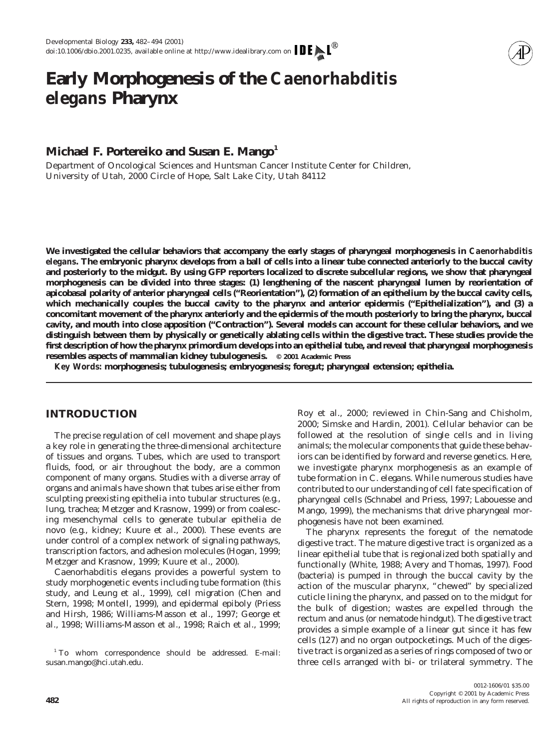

# **Early Morphogenesis of the** *Caenorhabditis elegans* **Pharynx**

# **Michael F. Portereiko and Susan E. Mango**<sup>1</sup>

*Department of Oncological Sciences and Huntsman Cancer Institute Center for Children, University of Utah, 2000 Circle of Hope, Salt Lake City, Utah 84112*

**We investigated the cellular behaviors that accompany the early stages of pharyngeal morphogenesis in** *Caenorhabditis elegans***. The embryonic pharynx develops from a ball of cells into a linear tube connected anteriorly to the buccal cavity and posteriorly to the midgut. By using GFP reporters localized to discrete subcellular regions, we show that pharyngeal morphogenesis can be divided into three stages: (1) lengthening of the nascent pharyngeal lumen by reorientation of apicobasal polarity of anterior pharyngeal cells ("Reorientation"), (2) formation of an epithelium by the buccal cavity cells, which mechanically couples the buccal cavity to the pharynx and anterior epidermis ("Epithelialization"), and (3) a concomitant movement of the pharynx anteriorly and the epidermis of the mouth posteriorly to bring the pharynx, buccal cavity, and mouth into close apposition ("Contraction"). Several models can account for these cellular behaviors, and we distinguish between them by physically or genetically ablating cells within the digestive tract. These studies provide the first description of how the pharynx primordium develops into an epithelial tube, and reveal that pharyngeal morphogenesis resembles aspects of mammalian kidney tubulogenesis. © 2001 Academic Press**

*Key Words:* **morphogenesis; tubulogenesis; embryogenesis; foregut; pharyngeal extension; epithelia.**

# **INTRODUCTION**

The precise regulation of cell movement and shape plays a key role in generating the three-dimensional architecture of tissues and organs. Tubes, which are used to transport fluids, food, or air throughout the body, are a common component of many organs. Studies with a diverse array of organs and animals have shown that tubes arise either from sculpting preexisting epithelia into tubular structures (e.g., lung, trachea; Metzger and Krasnow, 1999) or from coalescing mesenchymal cells to generate tubular epithelia *de novo* (e.g., kidney; Kuure *et al.*, 2000). These events are under control of a complex network of signaling pathways, transcription factors, and adhesion molecules (Hogan, 1999; Metzger and Krasnow, 1999; Kuure *et al.,* 2000).

*Caenorhabditis elegans* provides a powerful system to study morphogenetic events including tube formation (this study, and Leung *et al.,* 1999), cell migration (Chen and Stern, 1998; Montell, 1999), and epidermal epiboly (Priess and Hirsh, 1986; Williams-Masson *et al.,* 1997; George *et al.,* 1998; Williams-Masson *et al.,* 1998; Raich *et al.,* 1999;

<sup>1</sup> To whom correspondence should be addressed. E-mail: susan.mango@hci.utah.edu.

Roy *et al.,* 2000; reviewed in Chin-Sang and Chisholm, 2000; Simske and Hardin, 2001). Cellular behavior can be followed at the resolution of single cells and in living animals; the molecular components that guide these behaviors can be identified by forward and reverse genetics. Here, we investigate pharynx morphogenesis as an example of tube formation in *C. elegans*. While numerous studies have contributed to our understanding of cell fate specification of pharyngeal cells (Schnabel and Priess, 1997; Labouesse and Mango, 1999), the mechanisms that drive pharyngeal morphogenesis have not been examined.

The pharynx represents the foregut of the nematode digestive tract. The mature digestive tract is organized as a linear epithelial tube that is regionalized both spatially and functionally (White, 1988; Avery and Thomas, 1997). Food (bacteria) is pumped in through the buccal cavity by the action of the muscular pharynx, "chewed" by specialized cuticle lining the pharynx, and passed on to the midgut for the bulk of digestion; wastes are expelled through the rectum and anus (or nematode hindgut). The digestive tract provides a simple example of a linear gut since it has few cells (127) and no organ outpocketings. Much of the digestive tract is organized as a series of rings composed of two or three cells arranged with bi- or trilateral symmetry. The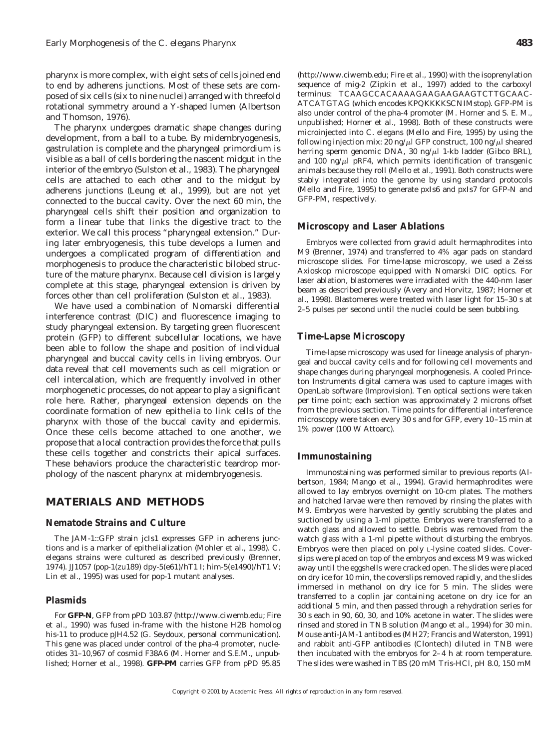pharynx is more complex, with eight sets of cells joined end to end by adherens junctions. Most of these sets are composed of six cells (six to nine nuclei) arranged with threefold rotational symmetry around a Y-shaped lumen (Albertson and Thomson, 1976).

The pharynx undergoes dramatic shape changes during development, from a ball to a tube. By midembryogenesis, gastrulation is complete and the pharyngeal primordium is visible as a ball of cells bordering the nascent midgut in the interior of the embryo (Sulston *et al.,* 1983). The pharyngeal cells are attached to each other and to the midgut by adherens junctions (Leung *et al.,* 1999), but are not yet connected to the buccal cavity. Over the next 60 min, the pharyngeal cells shift their position and organization to form a linear tube that links the digestive tract to the exterior. We call this process "pharyngeal extension." During later embryogenesis, this tube develops a lumen and undergoes a complicated program of differentiation and morphogenesis to produce the characteristic bilobed structure of the mature pharynx. Because cell division is largely complete at this stage, pharyngeal extension is driven by forces other than cell proliferation (Sulston *et al.,* 1983).

We have used a combination of Nomarski differential interference contrast (DIC) and fluorescence imaging to study pharyngeal extension. By targeting green fluorescent protein (GFP) to different subcellular locations, we have been able to follow the shape and position of individual pharyngeal and buccal cavity cells in living embryos. Our data reveal that cell movements such as cell migration or cell intercalation, which are frequently involved in other morphogenetic processes, do not appear to play a significant role here. Rather, pharyngeal extension depends on the coordinate formation of new epithelia to link cells of the pharynx with those of the buccal cavity and epidermis. Once these cells become attached to one another, we propose that a local contraction provides the force that pulls these cells together and constricts their apical surfaces. These behaviors produce the characteristic teardrop morphology of the nascent pharynx at midembryogenesis.

# **MATERIALS AND METHODS**

#### *Nematode Strains and Culture*

The JAM-1::GFP strain *jcIs1* expresses GFP in adherens junctions and is a marker of epithelialization (Mohler *et al.,* 1998). *C. elegans* strains were cultured as described previously (Brenner, 1974). JJ1057 (*pop-1(zu189) dpy-5(e61)/hT1* I*; him-5(e1490)/hT1* V; Lin *et al.,* 1995) was used for *pop-1* mutant analyses.

#### *Plasmids*

For **GFP-N**, GFP from pPD 103.87 (http://www.ciwemb.edu; Fire *et al.,* 1990) was fused in-frame with the histone H2B homolog *his-11* to produce pJH4.52 (G. Seydoux, personal communication). This gene was placed under control of the *pha-4* promoter, nucleotides 31–10,967 of cosmid F38A6 (M. Horner and S.E.M., unpublished; Horner *et al.,* 1998). **GFP-PM** carries GFP from pPD 95.85 (http://www.ciwemb.edu; Fire *et al.,* 1990) with the isoprenylation sequence of *mig-2* (Zipkin *et al.,* 1997) added to the carboxyl terminus: TCAAGCCACAAAAGAAGAAGAAGTCTTGCAAC-ATCATGTAG (which encodes KPQKKKKSCNIMstop). GFP-PM is also under control of the *pha-4* promoter (M. Horner and S. E. M., unpublished; Horner *et al.,* 1998). Both of these constructs were microinjected into *C. elegans* (Mello and Fire, 1995) by using the following injection mix: 20 ng/ $\mu$ l GFP construct, 100 ng/ $\mu$ l sheared herring sperm genomic DNA, 30 ng/ $\mu$ l 1-kb ladder (Gibco BRL), and 100 ng/ $\mu$ l pRF4, which permits identification of transgenic animals because they roll (Mello *et al.,* 1991). Both constructs were stably integrated into the genome by using standard protocols (Mello and Fire, 1995) to generate *pxIs6* and *pxIs7* for GFP-N and GFP-PM, respectively.

#### *Microscopy and Laser Ablations*

Embryos were collected from gravid adult hermaphrodites into M9 (Brenner, 1974) and transferred to 4% agar pads on standard microscope slides. For time-lapse microscopy, we used a Zeiss Axioskop microscope equipped with Nomarski DIC optics. For laser ablation, blastomeres were irradiated with the 440-nm laser beam as described previously (Avery and Horvitz, 1987; Horner *et al.,* 1998). Blastomeres were treated with laser light for 15–30 s at 2–5 pulses per second until the nuclei could be seen bubbling.

#### *Time-Lapse Microscopy*

Time-lapse microscopy was used for lineage analysis of pharyngeal and buccal cavity cells and for following cell movements and shape changes during pharyngeal morphogenesis. A cooled Princeton Instruments digital camera was used to capture images with OpenLab software (Improvision). Ten optical sections were taken per time point; each section was approximately 2 microns offset from the previous section. Time points for differential interference microscopy were taken every 30 s and for GFP, every 10–15 min at 1% power (100 W Attoarc).

#### *Immunostaining*

Immunostaining was performed similar to previous reports (Albertson, 1984; Mango *et al.,* 1994). Gravid hermaphrodites were allowed to lay embryos overnight on 10-cm plates. The mothers and hatched larvae were then removed by rinsing the plates with M9. Embryos were harvested by gently scrubbing the plates and suctioned by using a 1-ml pipette. Embryos were transferred to a watch glass and allowed to settle. Debris was removed from the watch glass with a 1-ml pipette without disturbing the embryos. Embryos were then placed on poly L-lysine coated slides. Coverslips were placed on top of the embryos and excess M9 was wicked away until the eggshells were cracked open. The slides were placed on dry ice for 10 min, the coverslips removed rapidly, and the slides immersed in methanol on dry ice for 5 min. The slides were transferred to a coplin jar containing acetone on dry ice for an additional 5 min, and then passed through a rehydration series for 30 s each in 90, 60, 30, and 10% acetone in water. The slides were rinsed and stored in TNB solution (Mango *et al.,* 1994) for 30 min. Mouse anti-JAM-1 antibodies (MH27; Francis and Waterston, 1991) and rabbit anti-GFP antibodies (Clontech) diluted in TNB were then incubated with the embryos for 2–4 h at room temperature. The slides were washed in TBS (20 mM Tris-HCl, pH 8.0, 150 mM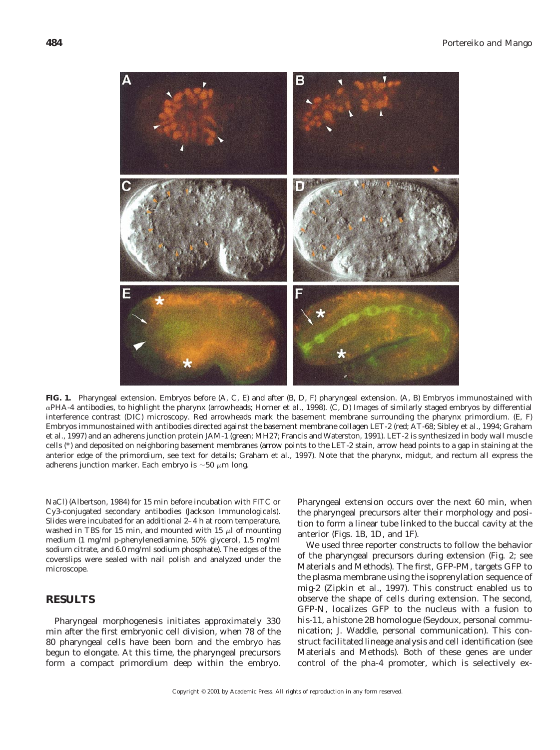

**FIG. 1.** Pharyngeal extension. Embryos before (A, C, E) and after (B, D, F) pharyngeal extension. (A, B) Embryos immunostained with <sup>a</sup>PHA-4 antibodies, to highlight the pharynx (arrowheads; Horner *et al.,* 1998). (C, D) Images of similarly staged embryos by differential interference contrast (DIC) microscopy. Red arrowheads mark the basement membrane surrounding the pharynx primordium. (E, F) Embryos immunostained with antibodies directed against the basement membrane collagen LET-2 (red; AT-68; Sibley *et al.,* 1994; Graham *et al.,* 1997) and an adherens junction protein JAM-1 (green; MH27; Francis and Waterston, 1991). LET-2 is synthesized in body wall muscle cells (\*) and deposited on neighboring basement membranes (arrow points to the LET-2 stain, arrow head points to a gap in staining at the anterior edge of the primordium, see text for details; Graham *et al.,* 1997). Note that the pharynx, midgut, and rectum all express the adherens junction marker. Each embryo is  $\sim$ 50  $\mu$ m long.

NaCl) (Albertson, 1984) for 15 min before incubation with FITC or Cy3-conjugated secondary antibodies (Jackson Immunologicals). Slides were incubated for an additional 2–4 h at room temperature, washed in TBS for 15 min, and mounted with 15  $\mu$ l of mounting medium (1 mg/ml *p*-phenylenediamine, 50% glycerol, 1.5 mg/ml sodium citrate, and 6.0 mg/ml sodium phosphate). The edges of the coverslips were sealed with nail polish and analyzed under the microscope.

# **RESULTS**

Pharyngeal morphogenesis initiates approximately 330 min after the first embryonic cell division, when 78 of the 80 pharyngeal cells have been born and the embryo has begun to elongate. At this time, the pharyngeal precursors form a compact primordium deep within the embryo.

Pharyngeal extension occurs over the next 60 min, when the pharyngeal precursors alter their morphology and position to form a linear tube linked to the buccal cavity at the anterior (Figs. 1B, 1D, and 1F).

We used three reporter constructs to follow the behavior of the pharyngeal precursors during extension (Fig. 2; see Materials and Methods). The first, GFP-PM, targets GFP to the plasma membrane using the isoprenylation sequence of *mig-2* (Zipkin *et al.,* 1997). This construct enabled us to observe the shape of cells during extension. The second, GFP-N, localizes GFP to the nucleus with a fusion to *his-11*, a histone 2B homologue (Seydoux, personal communication; J. Waddle, personal communication). This construct facilitated lineage analysis and cell identification (see Materials and Methods). Both of these genes are under control of the *pha*-*4* promoter, which is selectively ex-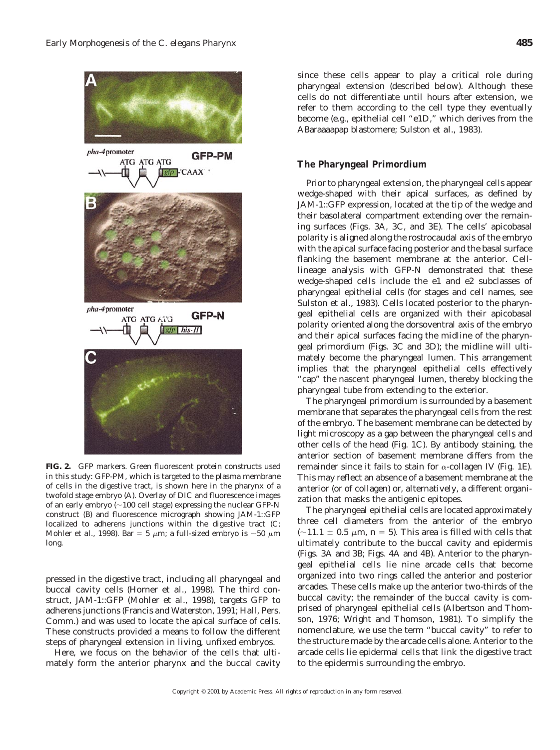

**FIG. 2.** GFP markers. Green fluorescent protein constructs used in this study: GFP-PM, which is targeted to the plasma membrane of cells in the digestive tract, is shown here in the pharynx of a twofold stage embryo (A). Overlay of DIC and fluorescence images of an early embryo  $(\sim100$  cell stage) expressing the nuclear GFP-N construct (B) and fluorescence micrograph showing JAM-1::GFP localized to adherens junctions within the digestive tract (C; Mohler *et al.*, 1998). Bar = 5  $\mu$ m; a full-sized embryo is ~50  $\mu$ m long.

pressed in the digestive tract, including all pharyngeal and buccal cavity cells (Horner *et al.,* 1998). The third construct, JAM-1::GFP (Mohler *et al.,* 1998), targets GFP to adherens junctions (Francis and Waterston, 1991; Hall, Pers. Comm.) and was used to locate the apical surface of cells. These constructs provided a means to follow the different steps of pharyngeal extension in living, unfixed embryos.

Here, we focus on the behavior of the cells that ultimately form the anterior pharynx and the buccal cavity since these cells appear to play a critical role during pharyngeal extension (described below). Although these cells do not differentiate until hours after extension, we refer to them according to the cell type they eventually become (e.g., epithelial cell "e1D," which derives from the ABaraaaapap blastomere; Sulston *et al.,* 1983).

#### *The Pharyngeal Primordium*

Prior to pharyngeal extension, the pharyngeal cells appear wedge-shaped with their apical surfaces, as defined by JAM-1::GFP expression, located at the tip of the wedge and their basolateral compartment extending over the remaining surfaces (Figs. 3A, 3C, and 3E). The cells' apicobasal polarity is aligned along the rostrocaudal axis of the embryo with the apical surface facing posterior and the basal surface flanking the basement membrane at the anterior. Celllineage analysis with GFP-N demonstrated that these wedge-shaped cells include the e1 and e2 subclasses of pharyngeal epithelial cells (for stages and cell names, see Sulston *et al.,* 1983). Cells located posterior to the pharyngeal epithelial cells are organized with their apicobasal polarity oriented along the dorsoventral axis of the embryo and their apical surfaces facing the midline of the pharyngeal primordium (Figs. 3C and 3D); the midline will ultimately become the pharyngeal lumen. This arrangement implies that the pharyngeal epithelial cells effectively "cap" the nascent pharyngeal lumen, thereby blocking the pharyngeal tube from extending to the exterior.

The pharyngeal primordium is surrounded by a basement membrane that separates the pharyngeal cells from the rest of the embryo. The basement membrane can be detected by light microscopy as a gap between the pharyngeal cells and other cells of the head (Fig. 1C). By antibody staining, the anterior section of basement membrane differs from the remainder since it fails to stain for  $\alpha$ -collagen IV (Fig. 1E). This may reflect an absence of a basement membrane at the anterior (or of collagen) or, alternatively, a different organization that masks the antigenic epitopes.

The pharyngeal epithelial cells are located approximately three cell diameters from the anterior of the embryo  $(-11.1 \pm 0.5 \mu m, n = 5)$ . This area is filled with cells that ultimately contribute to the buccal cavity and epidermis (Figs. 3A and 3B; Figs. 4A and 4B). Anterior to the pharyngeal epithelial cells lie nine arcade cells that become organized into two rings called the anterior and posterior arcades. These cells make up the anterior two-thirds of the buccal cavity; the remainder of the buccal cavity is comprised of pharyngeal epithelial cells (Albertson and Thomson, 1976; Wright and Thomson, 1981). To simplify the nomenclature, we use the term "buccal cavity" to refer to the structure made by the arcade cells alone. Anterior to the arcade cells lie epidermal cells that link the digestive tract to the epidermis surrounding the embryo.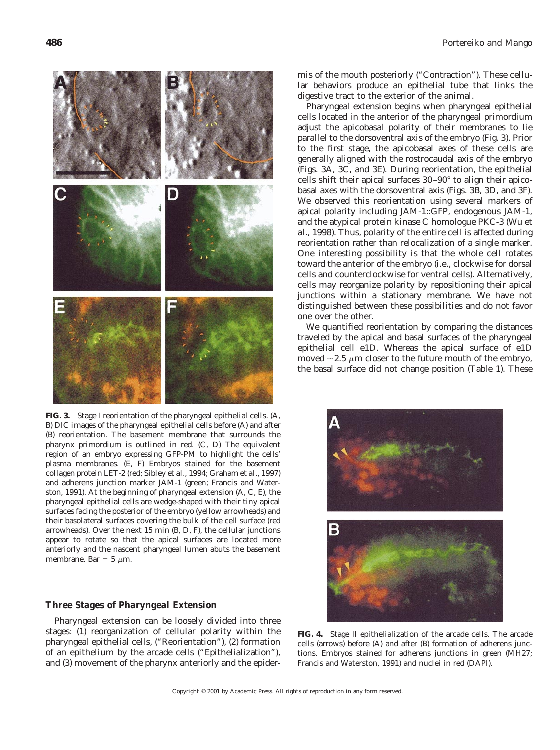

**FIG. 3.** Stage I reorientation of the pharyngeal epithelial cells. (A, B) DIC images of the pharyngeal epithelial cells before (A) and after (B) reorientation. The basement membrane that surrounds the pharynx primordium is outlined in red. (C, D) The equivalent region of an embryo expressing GFP-PM to highlight the cells' plasma membranes. (E, F) Embryos stained for the basement collagen protein LET-2 (red; Sibley *et al.,* 1994; Graham *et al.,* 1997) and adherens junction marker JAM-1 (green; Francis and Waterston, 1991). At the beginning of pharyngeal extension (A, C, E), the pharyngeal epithelial cells are wedge-shaped with their tiny apical surfaces facing the posterior of the embryo (yellow arrowheads) and their basolateral surfaces covering the bulk of the cell surface (red arrowheads). Over the next 15 min (B, D, F), the cellular junctions appear to rotate so that the apical surfaces are located more anteriorly and the nascent pharyngeal lumen abuts the basement membrane. Bar =  $5 \mu m$ .

#### *Three Stages of Pharyngeal Extension*

Pharyngeal extension can be loosely divided into three stages: (1) reorganization of cellular polarity within the pharyngeal epithelial cells, ("Reorientation"), (2) formation of an epithelium by the arcade cells ("Epithelialization"), and (3) movement of the pharynx anteriorly and the epidermis of the mouth posteriorly ("Contraction"). These cellular behaviors produce an epithelial tube that links the digestive tract to the exterior of the animal.

Pharyngeal extension begins when pharyngeal epithelial cells located in the anterior of the pharyngeal primordium adjust the apicobasal polarity of their membranes to lie parallel to the dorsoventral axis of the embryo (Fig. 3). Prior to the first stage, the apicobasal axes of these cells are generally aligned with the rostrocaudal axis of the embryo (Figs. 3A, 3C, and 3E). During reorientation, the epithelial cells shift their apical surfaces 30–90° to align their apicobasal axes with the dorsoventral axis (Figs. 3B, 3D, and 3F). We observed this reorientation using several markers of apical polarity including JAM-1::GFP, endogenous JAM-1, and the atypical protein kinase C homologue PKC-3 (Wu *et al.,* 1998). Thus, polarity of the entire cell is affected during reorientation rather than relocalization of a single marker. One interesting possibility is that the whole cell rotates toward the anterior of the embryo (i.e., clockwise for dorsal cells and counterclockwise for ventral cells). Alternatively, cells may reorganize polarity by repositioning their apical junctions within a stationary membrane. We have not distinguished between these possibilities and do not favor one over the other.

We quantified reorientation by comparing the distances traveled by the apical and basal surfaces of the pharyngeal epithelial cell e1D. Whereas the apical surface of e1D moved  $\sim$ 2.5  $\mu$ m closer to the future mouth of the embryo, the basal surface did not change position (Table 1). These



**FIG. 4.** Stage II epithelialization of the arcade cells. The arcade cells (arrows) before (A) and after (B) formation of adherens junctions. Embryos stained for adherens junctions in green (MH27; Francis and Waterston, 1991) and nuclei in red (DAPI).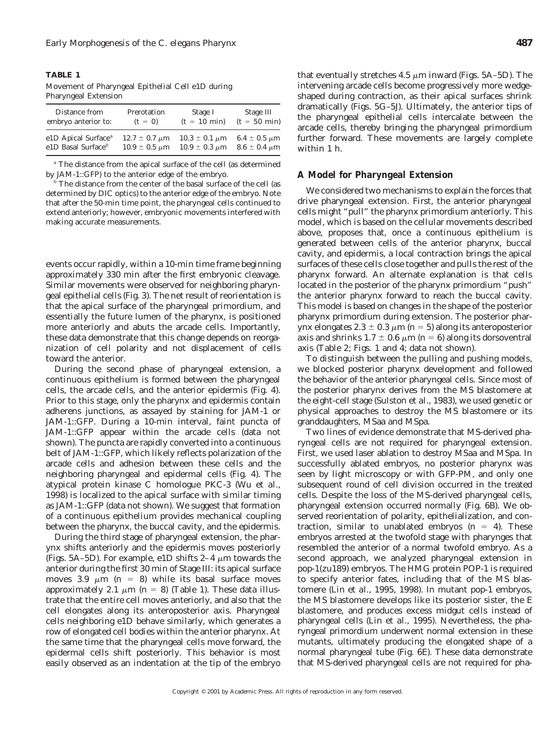**TABLE 1** Movement of Pharyngeal Epithelial Cell e1D during Pharyngeal Extension

| Distance from                   | Prerotation          | Stage I                | Stage III           |
|---------------------------------|----------------------|------------------------|---------------------|
| embryo anterior to:             | $(t = 0)$            | $(t = 10 \text{ min})$ | $(t = 50$ min)      |
| e1D Apical Surface <sup>a</sup> | $12.7 \pm 0.7 \mu m$ | $10.3 \pm 0.1 \ \mu m$ | $6.4 \pm 0.5 \mu m$ |
| e1D Basal Surface <sup>b</sup>  | $10.9 \pm 0.5 \mu m$ | $10.9 \pm 0.3 \mu m$   | $8.6 \pm 0.4 \mu m$ |

*<sup>a</sup>* The distance from the apical surface of the cell (as determined by JAM-1::GFP) to the anterior edge of the embryo.

*<sup>b</sup>* The distance from the center of the basal surface of the cell (as determined by DIC optics) to the anterior edge of the embryo. Note that after the 50-min time point, the pharyngeal cells continued to extend anteriorly; however, embryonic movements interfered with making accurate measurements.

events occur rapidly, within a 10-min time frame beginning approximately 330 min after the first embryonic cleavage. Similar movements were observed for neighboring pharyngeal epithelial cells (Fig. 3). The net result of reorientation is that the apical surface of the pharyngeal primordium, and essentially the future lumen of the pharynx, is positioned more anteriorly and abuts the arcade cells. Importantly, these data demonstrate that this change depends on reorganization of cell polarity and not displacement of cells toward the anterior.

During the second phase of pharyngeal extension, a continuous epithelium is formed between the pharyngeal cells, the arcade cells, and the anterior epidermis (Fig. 4). Prior to this stage, only the pharynx and epidermis contain adherens junctions, as assayed by staining for JAM-1 or JAM-1::GFP. During a 10-min interval, faint puncta of JAM-1::GFP appear within the arcade cells (data not shown). The puncta are rapidly converted into a continuous belt of JAM-1::GFP, which likely reflects polarization of the arcade cells and adhesion between these cells and the neighboring pharyngeal and epidermal cells (Fig. 4). The atypical protein kinase C homologue PKC-3 (Wu *et al.,* 1998) is localized to the apical surface with similar timing as JAM-1::GFP (data not shown). We suggest that formation of a continuous epithelium provides mechanical coupling between the pharynx, the buccal cavity, and the epidermis.

During the third stage of pharyngeal extension, the pharynx shifts anteriorly and the epidermis moves posteriorly (Figs. 5A–5D). For example, e1D shifts 2–4  $\mu$ m towards the anterior during the first 30 min of Stage III: its apical surface moves 3.9  $\mu$ m (*n* = 8) while its basal surface moves approximately 2.1  $\mu$ m (*n* = 8) (Table 1). These data illustrate that the entire cell moves anteriorly, and also that the cell elongates along its anteroposterior axis. Pharyngeal cells neighboring e1D behave similarly, which generates a row of elongated cell bodies within the anterior pharynx. At the same time that the pharyngeal cells move forward, the epidermal cells shift posteriorly. This behavior is most easily observed as an indentation at the tip of the embryo that eventually stretches 4.5  $\mu$ m inward (Figs. 5A–5D). The intervening arcade cells become progressively more wedgeshaped during contraction, as their apical surfaces shrink dramatically (Figs. 5G–5J). Ultimately, the anterior tips of the pharyngeal epithelial cells intercalate between the arcade cells, thereby bringing the pharyngeal primordium further forward. These movements are largely complete within 1 h.

#### *A Model for Pharyngeal Extension*

We considered two mechanisms to explain the forces that drive pharyngeal extension. First, the anterior pharyngeal cells might "pull" the pharynx primordium anteriorly. This model, which is based on the cellular movements described above, proposes that, once a continuous epithelium is generated between cells of the anterior pharynx, buccal cavity, and epidermis, a local contraction brings the apical surfaces of these cells close together and pulls the rest of the pharynx forward. An alternate explanation is that cells located in the posterior of the pharynx primordium "push" the anterior pharynx forward to reach the buccal cavity. This model is based on changes in the shape of the posterior pharynx primordium during extension. The posterior pharynx elongates  $2.3 \pm 0.3 \mu m$  ( $n = 5$ ) along its anteroposterior axis and shrinks  $1.7 \pm 0.6 \ \mu m$  ( $n = 6$ ) along its dorsoventral axis (Table 2; Figs. 1 and 4; data not shown).

To distinguish between the pulling and pushing models, we blocked posterior pharynx development and followed the behavior of the anterior pharyngeal cells. Since most of the posterior pharynx derives from the MS blastomere at the eight-cell stage (Sulston *et al.,* 1983), we used genetic or physical approaches to destroy the MS blastomere or its granddaughters, MSaa and MSpa.

Two lines of evidence demonstrate that MS-derived pharyngeal cells are not required for pharyngeal extension. First, we used laser ablation to destroy MSaa and MSpa. In successfully ablated embryos, no posterior pharynx was seen by light microscopy or with GFP-PM, and only one subsequent round of cell division occurred in the treated cells. Despite the loss of the MS-derived pharyngeal cells, pharyngeal extension occurred normally (Fig. 6B). We observed reorientation of polarity, epithelialization, and contraction, similar to unablated embryos  $(n = 4)$ . These embryos arrested at the twofold stage with pharynges that resembled the anterior of a normal twofold embryo. As a second approach, we analyzed pharyngeal extension in *pop-1(zu189)* embryos. The HMG protein POP-1 is required to specify anterior fates, including that of the MS blastomere (Lin *et al.,* 1995, 1998). In mutant *pop-1* embryos, the MS blastomere develops like its posterior sister, the E blastomere, and produces excess midgut cells instead of pharyngeal cells (Lin *et al.,* 1995). Nevertheless, the pharyngeal primordium underwent normal extension in these mutants, ultimately producing the elongated shape of a normal pharyngeal tube (Fig. 6E). These data demonstrate that MS-derived pharyngeal cells are not required for pha-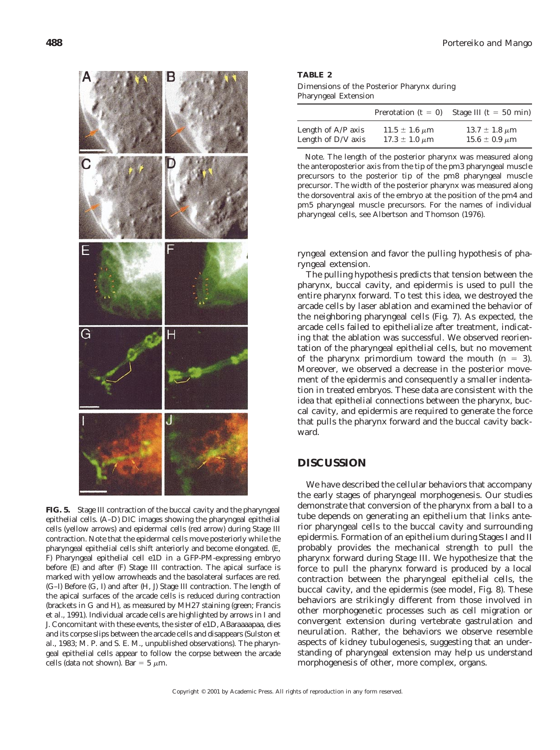

**FIG. 5.** Stage III contraction of the buccal cavity and the pharyngeal epithelial cells. (A–D) DIC images showing the pharyngeal epithelial cells (yellow arrows) and epidermal cells (red arrow) during Stage III contraction. Note that the epidermal cells move posteriorly while the pharyngeal epithelial cells shift anteriorly and become elongated. (E, F) Pharyngeal epithelial cell e1D in a GFP-PM-expressing embryo before (E) and after (F) Stage III contraction. The apical surface is marked with yellow arrowheads and the basolateral surfaces are red. (G–I) Before (G, I) and after (H, J) Stage III contraction. The length of the apical surfaces of the arcade cells is reduced during contraction (brackets in G and H), as measured by MH27 staining (green; Francis *et al.,* 1991). Individual arcade cells are highlighted by arrows in I and J. Concomitant with these events, the sister of e1D, ABaraaaapaa, dies and its corpse slips between the arcade cells and disappears (Sulston *et al.,* 1983; M. P. and S. E. M., unpublished observations). The pharyngeal epithelial cells appear to follow the corpse between the arcade cells (data not shown). Bar =  $5 \mu$ m.

#### **TABLE 2**

Dimensions of the Posterior Pharynx during Pharyngeal Extension

|                    | Prerotation ( $t = 0$ ) | Stage III ( $t = 50$ min) |
|--------------------|-------------------------|---------------------------|
| Length of A/P axis | $11.5 \pm 1.6 \,\mu m$  | $13.7 \pm 1.8 \mu m$      |
| Length of D/V axis | $17.3 \pm 1.0 \mu m$    | $15.6 \pm 0.9 \ \mu m$    |

*Note.* The length of the posterior pharynx was measured along the anteroposterior axis from the tip of the pm3 pharyngeal muscle precursors to the posterior tip of the pm8 pharyngeal muscle precursor. The width of the posterior pharynx was measured along the dorsoventral axis of the embryo at the position of the pm4 and pm5 pharyngeal muscle precursors. For the names of individual pharyngeal cells, see Albertson and Thomson (1976).

ryngeal extension and favor the pulling hypothesis of pharyngeal extension.

The pulling hypothesis predicts that tension between the pharynx, buccal cavity, and epidermis is used to pull the entire pharynx forward. To test this idea, we destroyed the arcade cells by laser ablation and examined the behavior of the neighboring pharyngeal cells (Fig. 7). As expected, the arcade cells failed to epithelialize after treatment, indicating that the ablation was successful. We observed reorientation of the pharyngeal epithelial cells, but no movement of the pharynx primordium toward the mouth  $(n = 3)$ . Moreover, we observed a decrease in the posterior movement of the epidermis and consequently a smaller indentation in treated embryos. These data are consistent with the idea that epithelial connections between the pharynx, buccal cavity, and epidermis are required to generate the force that pulls the pharynx forward and the buccal cavity backward.

# **DISCUSSION**

We have described the cellular behaviors that accompany the early stages of pharyngeal morphogenesis. Our studies demonstrate that conversion of the pharynx from a ball to a tube depends on generating an epithelium that links anterior pharyngeal cells to the buccal cavity and surrounding epidermis. Formation of an epithelium during Stages I and II probably provides the mechanical strength to pull the pharynx forward during Stage III. We hypothesize that the force to pull the pharynx forward is produced by a local contraction between the pharyngeal epithelial cells, the buccal cavity, and the epidermis (see model, Fig. 8). These behaviors are strikingly different from those involved in other morphogenetic processes such as cell migration or convergent extension during vertebrate gastrulation and neurulation. Rather, the behaviors we observe resemble aspects of kidney tubulogenesis, suggesting that an understanding of pharyngeal extension may help us understand morphogenesis of other, more complex, organs.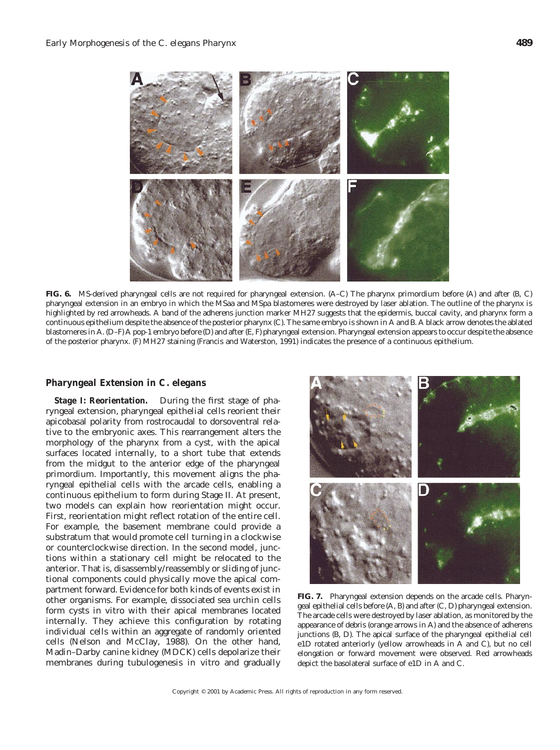

**FIG. 6.** MS-derived pharyngeal cells are not required for pharyngeal extension. (A–C) The pharynx primordium before (A) and after (B, C) pharyngeal extension in an embryo in which the MSaa and MSpa blastomeres were destroyed by laser ablation. The outline of the pharynx is highlighted by red arrowheads. A band of the adherens junction marker MH27 suggests that the epidermis, buccal cavity, and pharynx form a continuous epithelium despite the absence of the posterior pharynx (C). The same embryo is shown in A and B. A black arrow denotes the ablated blastomeres in A. (D–F) A *pop-1* embryo before (D) and after (E, F) pharyngeal extension. Pharyngeal extension appears to occur despite the absence of the posterior pharynx. (F) MH27 staining (Francis and Waterston, 1991) indicates the presence of a continuous epithelium.

## *Pharyngeal Extension in C. elegans*

*Stage I: Reorientation.* During the first stage of pharyngeal extension, pharyngeal epithelial cells reorient their apicobasal polarity from rostrocaudal to dorsoventral relative to the embryonic axes. This rearrangement alters the morphology of the pharynx from a cyst, with the apical surfaces located internally, to a short tube that extends from the midgut to the anterior edge of the pharyngeal primordium. Importantly, this movement aligns the pharyngeal epithelial cells with the arcade cells, enabling a continuous epithelium to form during Stage II. At present, two models can explain how reorientation might occur. First, reorientation might reflect rotation of the entire cell. For example, the basement membrane could provide a substratum that would promote cell turning in a clockwise or counterclockwise direction. In the second model, junctions within a stationary cell might be relocated to the anterior. That is, disassembly/reassembly or sliding of junctional components could physically move the apical compartment forward. Evidence for both kinds of events exist in other organisms. For example, dissociated sea urchin cells form cysts *in vitro* with their apical membranes located internally. They achieve this configuration by rotating individual cells within an aggregate of randomly oriented cells (Nelson and McClay, 1988). On the other hand, Madin–Darby canine kidney (MDCK) cells depolarize their membranes during tubulogenesis *in vitro* and gradually



**FIG. 7.** Pharyngeal extension depends on the arcade cells. Pharyngeal epithelial cells before (A, B) and after (C, D) pharyngeal extension. The arcade cells were destroyed by laser ablation, as monitored by the appearance of debris (orange arrows in A) and the absence of adherens junctions (B, D). The apical surface of the pharyngeal epithelial cell e1D rotated anteriorly (yellow arrowheads in A and C), but no cell elongation or forward movement were observed. Red arrowheads depict the basolateral surface of e1D in A and C.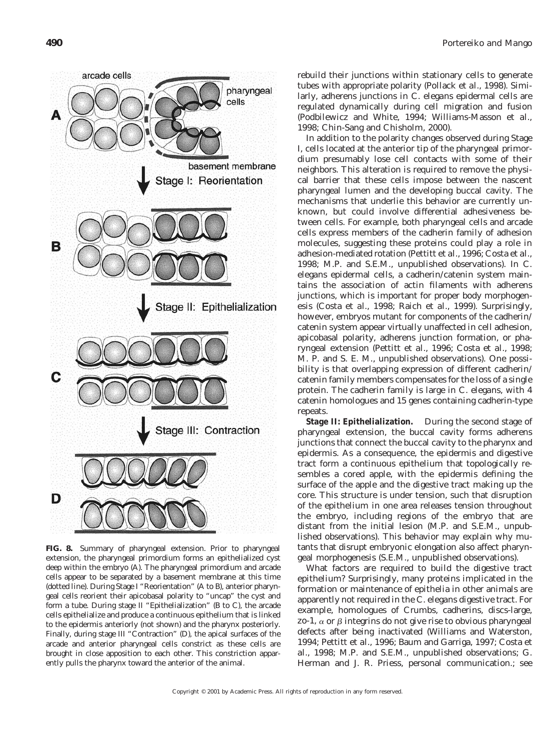

**FIG. 8.** Summary of pharyngeal extension. Prior to pharyngeal extension, the pharyngeal primordium forms an epithelialized cyst deep within the embryo (A). The pharyngeal primordium and arcade cells appear to be separated by a basement membrane at this time (dotted line). During Stage I "Reorientation" (A to B), anterior pharyngeal cells reorient their apicobasal polarity to "uncap" the cyst and form a tube. During stage II "Epithelialization" (B to C), the arcade cells epithelialize and produce a continuous epithelium that is linked to the epidermis anteriorly (not shown) and the pharynx posteriorly. Finally, during stage III "Contraction" (D), the apical surfaces of the arcade and anterior pharyngeal cells constrict as these cells are brought in close apposition to each other. This constriction apparently pulls the pharynx toward the anterior of the animal.

rebuild their junctions within stationary cells to generate tubes with appropriate polarity (Pollack *et al.,* 1998). Similarly, adherens junctions in *C. elegans* epidermal cells are regulated dynamically during cell migration and fusion (Podbilewicz and White, 1994; Williams-Masson *et al.,* 1998; Chin-Sang and Chisholm, 2000).

In addition to the polarity changes observed during Stage I, cells located at the anterior tip of the pharyngeal primordium presumably lose cell contacts with some of their neighbors. This alteration is required to remove the physical barrier that these cells impose between the nascent pharyngeal lumen and the developing buccal cavity. The mechanisms that underlie this behavior are currently unknown, but could involve differential adhesiveness between cells. For example, both pharyngeal cells and arcade cells express members of the cadherin family of adhesion molecules, suggesting these proteins could play a role in adhesion-mediated rotation (Pettitt *et al.,* 1996; Costa *et al.,* 1998; M.P. and S.E.M., unpublished observations). In *C. elegans* epidermal cells, a cadherin/catenin system maintains the association of actin filaments with adherens junctions, which is important for proper body morphogenesis (Costa *et al.,* 1998; Raich *et al.,* 1999). Surprisingly, however, embryos mutant for components of the cadherin/ catenin system appear virtually unaffected in cell adhesion, apicobasal polarity, adherens junction formation, or pharyngeal extension (Pettitt *et al.,* 1996; Costa *et al.,* 1998; M. P. and S. E. M., unpublished observations). One possibility is that overlapping expression of different cadherin/ catenin family members compensates for the loss of a single protein. The cadherin family is large in *C. elegans*, with 4 catenin homologues and 15 genes containing cadherin-type repeats.

*Stage II: Epithelialization.* During the second stage of pharyngeal extension, the buccal cavity forms adherens junctions that connect the buccal cavity to the pharynx and epidermis. As a consequence, the epidermis and digestive tract form a continuous epithelium that topologically resembles a cored apple, with the epidermis defining the surface of the apple and the digestive tract making up the core. This structure is under tension, such that disruption of the epithelium in one area releases tension throughout the embryo, including regions of the embryo that are distant from the initial lesion (M.P. and S.E.M., unpublished observations). This behavior may explain why mutants that disrupt embryonic elongation also affect pharyngeal morphogenesis (S.E.M., unpublished observations).

What factors are required to build the digestive tract epithelium? Surprisingly, many proteins implicated in the formation or maintenance of epithelia in other animals are apparently not required in the *C. elegans* digestive tract. For example, homologues of Crumbs, cadherins, discs-large, zo-1,  $\alpha$  or  $\beta$  integrins do not give rise to obvious pharyngeal defects after being inactivated (Williams and Waterston, 1994; Pettitt *et al.,* 1996; Baum and Garriga, 1997; Costa *et al.,* 1998; M.P. and S.E.M., unpublished observations; G. Herman and J. R. Priess, personal communication.; see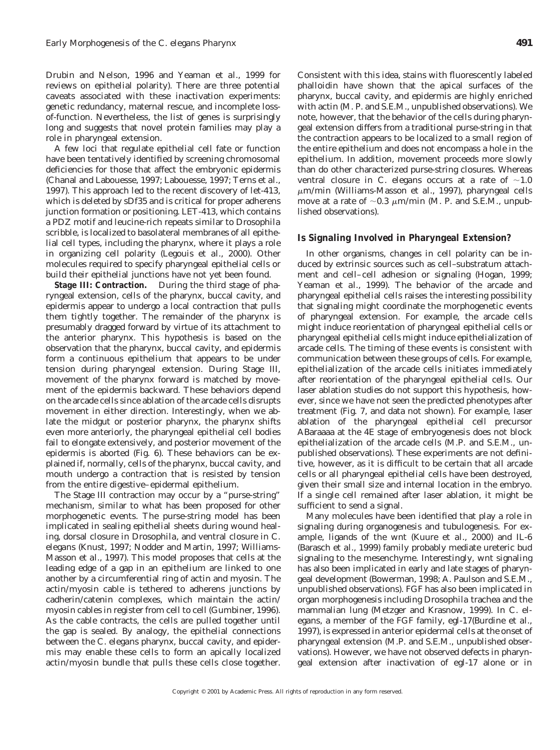Drubin and Nelson, 1996 and Yeaman *et al.,* 1999 for reviews on epithelial polarity). There are three potential caveats associated with these inactivation experiments: genetic redundancy, maternal rescue, and incomplete lossof-function. Nevertheless, the list of genes is surprisingly long and suggests that novel protein families may play a role in pharyngeal extension.

A few loci that regulate epithelial cell fate or function have been tentatively identified by screening chromosomal deficiencies for those that affect the embryonic epidermis (Chanal and Labouesse, 1997; Labouesse, 1997; Terns *et al.,* 1997). This approach led to the recent discovery of *let-413*, which is deleted by *sDf35* and is critical for proper adherens junction formation or positioning. LET-413, which contains a PDZ motif and leucine-rich repeats similar to *Drosophila* scribble, is localized to basolateral membranes of all epithelial cell types, including the pharynx, where it plays a role in organizing cell polarity (Legouis *et al.,* 2000). Other molecules required to specify pharyngeal epithelial cells or build their epithelial junctions have not yet been found.

*Stage III: Contraction.* During the third stage of pharyngeal extension, cells of the pharynx, buccal cavity, and epidermis appear to undergo a local contraction that pulls them tightly together. The remainder of the pharynx is presumably dragged forward by virtue of its attachment to the anterior pharynx. This hypothesis is based on the observation that the pharynx, buccal cavity, and epidermis form a continuous epithelium that appears to be under tension during pharyngeal extension. During Stage III, movement of the pharynx forward is matched by movement of the epidermis backward. These behaviors depend on the arcade cells since ablation of the arcade cells disrupts movement in either direction. Interestingly, when we ablate the midgut or posterior pharynx, the pharynx shifts even more anteriorly, the pharyngeal epithelial cell bodies fail to elongate extensively, and posterior movement of the epidermis is aborted (Fig. 6). These behaviors can be explained if, normally, cells of the pharynx, buccal cavity, and mouth undergo a contraction that is resisted by tension from the entire digestive–epidermal epithelium.

The Stage III contraction may occur by a "purse-string" mechanism, similar to what has been proposed for other morphogenetic events. The purse-string model has been implicated in sealing epithelial sheets during wound healing, dorsal closure in *Drosophila*, and ventral closure in *C. elegans* (Knust, 1997; Nodder and Martin, 1997; Williams-Masson *et al.,* 1997). This model proposes that cells at the leading edge of a gap in an epithelium are linked to one another by a circumferential ring of actin and myosin. The actin/myosin cable is tethered to adherens junctions by cadherin/catenin complexes, which maintain the actin/ myosin cables in register from cell to cell (Gumbiner, 1996). As the cable contracts, the cells are pulled together until the gap is sealed. By analogy, the epithelial connections between the *C. elegans* pharynx, buccal cavity, and epidermis may enable these cells to form an apically localized actin/myosin bundle that pulls these cells close together. Consistent with this idea, stains with fluorescently labeled phalloidin have shown that the apical surfaces of the pharynx, buccal cavity, and epidermis are highly enriched with actin (M. P. and S.E.M., unpublished observations). We note, however, that the behavior of the cells during pharyngeal extension differs from a traditional purse-string in that the contraction appears to be localized to a small region of the entire epithelium and does not encompass a hole in the epithelium. In addition, movement proceeds more slowly than do other characterized purse-string closures. Whereas ventral closure in *C. elegans* occurs at a rate of  $\sim$ 1.0 <sup>m</sup>m/min (Williams-Masson *et al.,* 1997), pharyngeal cells move at a rate of  $\sim$ 0.3  $\mu$ m/min (M. P. and S.E.M., unpublished observations).

#### *Is Signaling Involved in Pharyngeal Extension?*

In other organisms, changes in cell polarity can be induced by extrinsic sources such as cell–substratum attachment and cell–cell adhesion or signaling (Hogan, 1999; Yeaman *et al.,* 1999). The behavior of the arcade and pharyngeal epithelial cells raises the interesting possibility that signaling might coordinate the morphogenetic events of pharyngeal extension. For example, the arcade cells might induce reorientation of pharyngeal epithelial cells or pharyngeal epithelial cells might induce epithelialization of arcade cells. The timing of these events is consistent with communication between these groups of cells. For example, epithelialization of the arcade cells initiates immediately after reorientation of the pharyngeal epithelial cells. Our laser ablation studies do not support this hypothesis, however, since we have not seen the predicted phenotypes after treatment (Fig. 7, and data not shown). For example, laser ablation of the pharyngeal epithelial cell precursor ABaraaaa at the 4E stage of embryogenesis does not block epithelialization of the arcade cells (M.P. and S.E.M., unpublished observations). These experiments are not definitive, however, as it is difficult to be certain that all arcade cells or all pharyngeal epithelial cells have been destroyed, given their small size and internal location in the embryo. If a single cell remained after laser ablation, it might be sufficient to send a signal.

Many molecules have been identified that play a role in signaling during organogenesis and tubulogenesis. For example, ligands of the *wnt* (Kuure *et al.,* 2000) and IL-6 (Barasch *et al.,* 1999) family probably mediate ureteric bud signaling to the mesenchyme. Interestingly, *wnt* signaling has also been implicated in early and late stages of pharyngeal development (Bowerman, 1998; A. Paulson and S.E.M., unpublished observations). FGF has also been implicated in organ morphogenesis including *Drosophila* trachea and the mammalian lung (Metzger and Krasnow, 1999). In *C. elegans*, a member of the FGF family*, egl-17*(Burdine *et al.,* 1997), is expressed in anterior epidermal cells at the onset of pharyngeal extension (M.P. and S.E.M., unpublished observations). However, we have not observed defects in pharyngeal extension after inactivation of *egl-17* alone or in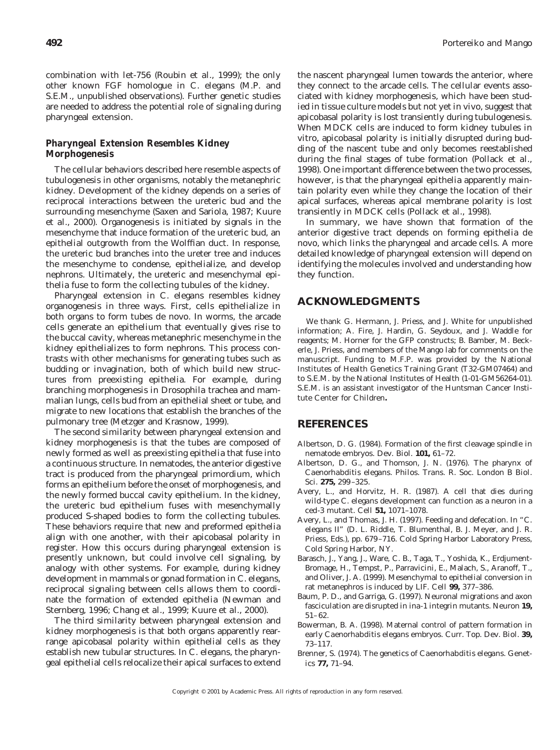combination with *let-756* (Roubin *et al.,* 1999); the only other known FGF homologue in *C. elegans* (M.P. and S.E.M., unpublished observations). Further genetic studies are needed to address the potential role of signaling during pharyngeal extension.

## *Pharyngeal Extension Resembles Kidney Morphogenesis*

The cellular behaviors described here resemble aspects of tubulogenesis in other organisms, notably the metanephric kidney. Development of the kidney depends on a series of reciprocal interactions between the ureteric bud and the surrounding mesenchyme (Saxen and Sariola, 1987; Kuure *et al.,* 2000). Organogenesis is initiated by signals in the mesenchyme that induce formation of the ureteric bud, an epithelial outgrowth from the Wolffian duct. In response, the ureteric bud branches into the ureter tree and induces the mesenchyme to condense, epithelialize, and develop nephrons. Ultimately, the ureteric and mesenchymal epithelia fuse to form the collecting tubules of the kidney.

Pharyngeal extension in *C. elegans* resembles kidney organogenesis in three ways. First, cells epithelialize in both organs to form tubes *de novo*. In worms, the arcade cells generate an epithelium that eventually gives rise to the buccal cavity, whereas metanephric mesenchyme in the kidney epithelializes to form nephrons. This process contrasts with other mechanisms for generating tubes such as budding or invagination, both of which build new structures from preexisting epithelia. For example, during branching morphogenesis in *Drosophila* trachea and mammalian lungs, cells bud from an epithelial sheet or tube, and migrate to new locations that establish the branches of the pulmonary tree (Metzger and Krasnow, 1999).

The second similarity between pharyngeal extension and kidney morphogenesis is that the tubes are composed of newly formed as well as preexisting epithelia that fuse into a continuous structure. In nematodes, the anterior digestive tract is produced from the pharyngeal primordium, which forms an epithelium before the onset of morphogenesis, and the newly formed buccal cavity epithelium. In the kidney, the ureteric bud epithelium fuses with mesenchymally produced S-shaped bodies to form the collecting tubules. These behaviors require that new and preformed epithelia align with one another, with their apicobasal polarity in register. How this occurs during pharyngeal extension is presently unknown, but could involve cell signaling, by analogy with other systems. For example, during kidney development in mammals or gonad formation in *C. elegans*, reciprocal signaling between cells allows them to coordinate the formation of extended epithelia (Newman and Sternberg, 1996; Chang *et al.,* 1999; Kuure *et al.,* 2000).

The third similarity between pharyngeal extension and kidney morphogenesis is that both organs apparently rearrange apicobasal polarity within epithelial cells as they establish new tubular structures. In *C. elegans*, the pharyngeal epithelial cells relocalize their apical surfaces to extend

the nascent pharyngeal lumen towards the anterior, where they connect to the arcade cells. The cellular events associated with kidney morphogenesis, which have been studied in tissue culture models but not yet *in vivo*, suggest that apicobasal polarity is lost transiently during tubulogenesis. When MDCK cells are induced to form kidney tubules *in vitro*, apicobasal polarity is initially disrupted during budding of the nascent tube and only becomes reestablished during the final stages of tube formation (Pollack *et al.,* 1998). One important difference between the two processes, however, is that the pharyngeal epithelia apparently maintain polarity even while they change the location of their apical surfaces, whereas apical membrane polarity is lost transiently in MDCK cells (Pollack *et al.,* 1998).

In summary, we have shown that formation of the anterior digestive tract depends on forming epithelia *de novo*, which links the pharyngeal and arcade cells. A more detailed knowledge of pharyngeal extension will depend on identifying the molecules involved and understanding how they function.

# **ACKNOWLEDGMENTS**

We thank G. Hermann, J. Priess, and J. White for unpublished information; A. Fire, J. Hardin, G. Seydoux, and J. Waddle for reagents; M. Horner for the GFP constructs; B. Bamber, M. Beckerle, J. Priess, and members of the Mango lab for comments on the manuscript. Funding to M.F.P. was provided by the National Institutes of Health Genetics Training Grant (T32-GM07464) and to S.E.M. by the National Institutes of Health (1-01-GM56264-01). S.E.M. is an assistant investigator of the Huntsman Cancer Institute Center for Children**.**

## **REFERENCES**

- Albertson, D. G. (1984). Formation of the first cleavage spindle in nematode embryos. *Dev. Biol.* **101,** 61–72.
- Albertson, D. G., and Thomson, J. N. (1976). The pharynx of *Caenorhabditis elegans. Philos. Trans. R. Soc. London B Biol. Sci.* **275,** 299–325.
- Avery, L., and Horvitz, H. R. (1987). A cell that dies during wild-type *C. elegans* development can function as a neuron in a *ced-3* mutant. *Cell* **51,** 1071–1078.
- Avery, L., and Thomas, J. H. (1997). Feeding and defecation. In "*C. elegans* II" (D. L. Riddle, T. Blumenthal, B. J. Meyer, and J. R. Priess, Eds.), pp. 679–716. Cold Spring Harbor Laboratory Press, Cold Spring Harbor, NY.
- Barasch, J., Yang, J., Ware, C. B., Taga, T., Yoshida, K., Erdjument-Bromage, H., Tempst, P., Parravicini, E., Malach, S., Aranoff, T., and Oliver, J. A. (1999). Mesenchymal to epithelial conversion in rat metanephros is induced by LIF. *Cell* **99,** 377–386.
- Baum, P. D., and Garriga, G. (1997). Neuronal migrations and axon fasciculation are disrupted in *ina-1* integrin mutants. *Neuron* **19,** 51–62.
- Bowerman, B. A. (1998). Maternal control of pattern formation in early *Caenorhabditis elegans* embryos. *Curr. Top. Dev. Biol.* **39,** 73–117.
- Brenner, S. (1974). The genetics of *Caenorhabditis elegans. Genetics* **77,** 71–94.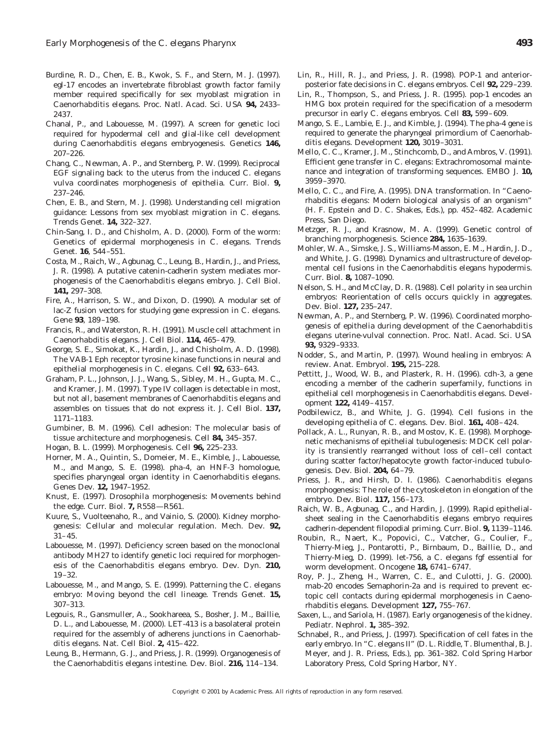- Burdine, R. D., Chen, E. B., Kwok, S. F., and Stern, M. J. (1997). *egl-17* encodes an invertebrate fibroblast growth factor family member required specifically for sex myoblast migration in *Caenorhabditis elegans. Proc. Natl. Acad. Sci. USA* **94,** 2433– 2437.
- Chanal, P., and Labouesse, M. (1997). A screen for genetic loci required for hypodermal cell and glial-like cell development during *Caenorhabditis elegans* embryogenesis. *Genetics* **146,** 207–226.
- Chang, C., Newman, A. P., and Sternberg, P. W. (1999). Reciprocal EGF signaling back to the uterus from the induced *C. elegans* vulva coordinates morphogenesis of epithelia. *Curr. Biol.* **9,** 237–246.
- Chen, E. B., and Stern, M. J. (1998). Understanding cell migration guidance: Lessons from sex myoblast migration in *C. elegans. Trends Genet.* **14,** 322–327.
- Chin-Sang, I. D., and Chisholm, A. D. (2000). Form of the worm: Genetics of epidermal morphogenesis in *C. elegans. Trends Genet.* **16**, 544–551.
- Costa, M., Raich, W., Agbunag, C., Leung, B., Hardin, J., and Priess, J. R. (1998). A putative catenin-cadherin system mediates morphogenesis of the *Caenorhabditis elegans* embryo. *J. Cell Biol.* **141,** 297–308.
- Fire, A., Harrison, S. W., and Dixon, D. (1990). A modular set of lac-Z fusion vectors for studying gene expression in *C. elegans*. *Gene* **93**, 189–198.
- Francis, R., and Waterston, R. H. (1991). Muscle cell attachment in *Caenorhabditis elegans. J. Cell Biol.* **114,** 465–479.
- George, S. E., Simokat, K., Hardin, J., and Chisholm, A. D. (1998). The VAB-1 Eph receptor tyrosine kinase functions in neural and epithelial morphogenesis in *C. elegans. Cell* **92,** 633–643.
- Graham, P. L., Johnson, J. J., Wang, S., Sibley, M. H., Gupta, M. C., and Kramer, J. M. (1997). Type IV collagen is detectable in most, but not all, basement membranes of *Caenorhabditis elegans* and assembles on tissues that do not express it. *J. Cell Biol.* **137,** 1171–1183.
- Gumbiner, B. M. (1996). Cell adhesion: The molecular basis of tissue architecture and morphogenesis. *Cell* **84,** 345–357.
- Hogan, B. L. (1999). Morphogenesis. *Cell* **96,** 225–233.
- Horner, M. A., Quintin, S., Domeier, M. E., Kimble, J., Labouesse, M., and Mango, S. E. (1998). *pha-4*, an HNF-3 homologue, specifies pharyngeal organ identity in *Caenorhabditis elegans. Genes Dev.* **12,** 1947–1952.
- Knust, E. (1997). *Drosophila* morphogenesis: Movements behind the edge. *Curr. Biol.* **7,** R558—R561.
- Kuure, S., Vuolteenaho, R., and Vainio, S. (2000). Kidney morphogenesis: Cellular and molecular regulation. *Mech. Dev.* **92,**  $31 - 45.$
- Labouesse, M. (1997). Deficiency screen based on the monoclonal antibody MH27 to identify genetic loci required for morphogenesis of the *Caenorhabditis elegans* embryo. *Dev. Dyn.* **210,** 19–32.
- Labouesse, M., and Mango, S. E. (1999). Patterning the *C. elegans* embryo: Moving beyond the cell lineage. *Trends Genet.* **15,** 307–313.
- Legouis, R., Gansmuller, A., Sookhareea, S., Bosher, J. M., Baillie, D. L., and Labouesse, M. (2000). LET-413 is a basolateral protein required for the assembly of adherens junctions in *Caenorhabditis elegans. Nat. Cell Biol.* **2,** 415–422.
- Leung, B., Hermann, G. J., and Priess, J. R. (1999). Organogenesis of the *Caenorhabditis elegans* intestine. *Dev. Biol.* **216,** 114–134.
- Lin, R., Hill, R. J., and Priess, J. R. (1998). POP-1 and anteriorposterior fate decisions in *C. elegans* embryos. *Cell* **92,** 229–239.
- Lin, R., Thompson, S., and Priess, J. R. (1995). *pop-1* encodes an HMG box protein required for the specification of a mesoderm precursor in early *C. elegans* embryos. *Cell* **83,** 599–609.
- Mango, S. E., Lambie, E. J., and Kimble, J. (1994). The *pha-4* gene is required to generate the pharyngeal primordium of *Caenorhabditis elegans. Development* **120,** 3019–3031.
- Mello, C. C., Kramer, J. M., Stinchcomb, D., and Ambros, V. (1991). Efficient gene transfer in *C. elegans*: Extrachromosomal maintenance and integration of transforming sequences. *EMBO J.* **10,** 3959–3970.
- Mello, C. C., and Fire, A. (1995). DNA transformation. In "*Caenorhabditis elegans*: Modern biological analysis of an organism" (H. F. Epstein and D. C. Shakes, Eds.), pp. 452–482. Academic Press, San Diego.
- Metzger, R. J., and Krasnow, M. A. (1999). Genetic control of branching morphogenesis. *Science* **284,** 1635–1639.
- Mohler, W. A., Simske, J. S., Williams-Masson, E. M., Hardin, J. D., and White, J. G. (1998). Dynamics and ultrastructure of developmental cell fusions in the *Caenorhabditis elegans* hypodermis. *Curr. Biol.* **8,** 1087–1090.
- Nelson, S. H., and McClay, D. R. (1988). Cell polarity in sea urchin embryos: Reorientation of cells occurs quickly in aggregates. *Dev. Biol.* **127,** 235–247.
- Newman, A. P., and Sternberg, P. W. (1996). Coordinated morphogenesis of epithelia during development of the *Caenorhabditis elegans* uterine-vulval connection. *Proc. Natl. Acad. Sci. USA* **93,** 9329–9333.
- Nodder, S., and Martin, P. (1997). Wound healing in embryos: A review. *Anat. Embryol.* **195,** 215–228.
- Pettitt, J., Wood, W. B., and Plasterk, R. H. (1996). *cdh-3*, a gene encoding a member of the cadherin superfamily, functions in epithelial cell morphogenesis in *Caenorhabditis elegans. Development* **122,** 4149–4157.
- Podbilewicz, B., and White, J. G. (1994). Cell fusions in the developing epithelia of *C. elegans. Dev. Biol.* **161,** 408–424.
- Pollack, A. L., Runyan, R. B., and Mostov, K. E. (1998). Morphogenetic mechanisms of epithelial tubulogenesis: MDCK cell polarity is transiently rearranged without loss of cell–cell contact during scatter factor/hepatocyte growth factor-induced tubulogenesis. *Dev. Biol.* **204,** 64–79.
- Priess, J. R., and Hirsh, D. I. (1986). *Caenorhabditis elegans* morphogenesis: The role of the cytoskeleton in elongation of the embryo. *Dev. Biol.* **117,** 156–173.
- Raich, W. B., Agbunag, C., and Hardin, J. (1999). Rapid epithelialsheet sealing in the *Caenorhabditis elegans* embryo requires cadherin-dependent filopodial priming. *Curr. Biol.* **9,** 1139–1146.
- Roubin, R., Naert, K., Popovici, C., Vatcher, G., Coulier, F., Thierry-Mieg, J., Pontarotti, P., Birnbaum, D., Baillie, D., and Thierry-Mieg, D. (1999). *let-756*, a *C. elegans fgf* essential for worm development. *Oncogene* **18,** 6741–6747.
- Roy, P. J., Zheng, H., Warren, C. E., and Culotti, J. G. (2000). *mab-20* encodes Semaphorin-2a and is required to prevent ectopic cell contacts during epidermal morphogenesis in *Caenorhabditis elegans. Development* **127,** 755–767.
- Saxen, L., and Sariola, H. (1987). Early organogenesis of the kidney. *Pediatr. Nephrol.* **1,** 385–392.
- Schnabel, R., and Priess, J. (1997). Specification of cell fates in the early embryo. In "*C. elegans* II" (D. L. Riddle, T. Blumenthal, B. J. Meyer, and J. R. Priess, Eds.), pp. 361–382. Cold Spring Harbor Laboratory Press, Cold Spring Harbor, NY.